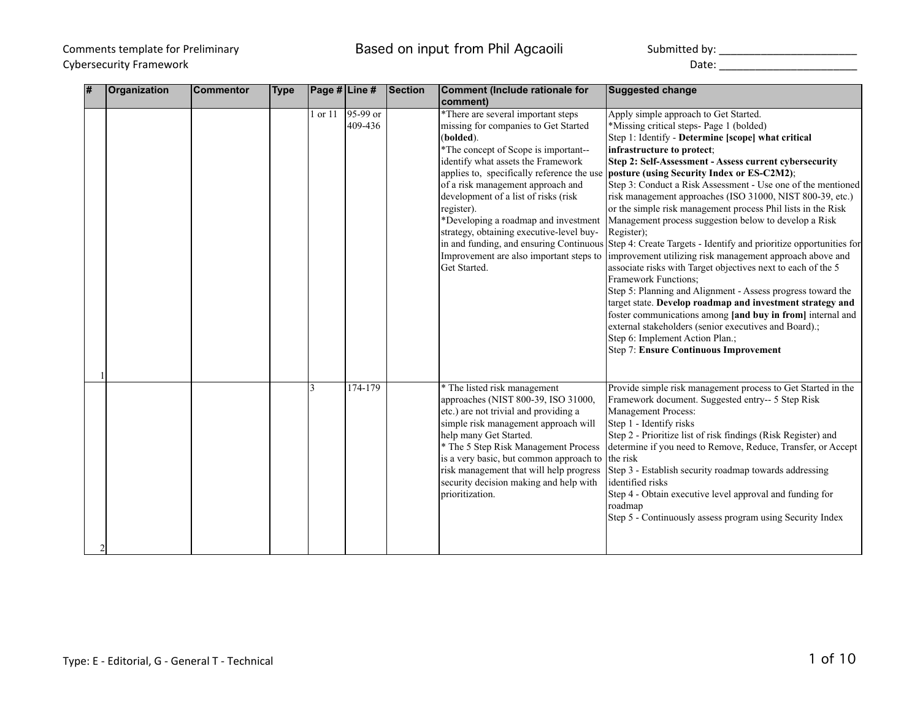## Comments template for Preliminary **Exercise Seam Accord Comments Comments and Transform Comments template for Preliminary**

Cybersecurity Framework **Exercise 2008** Cybersecurity Framework **Date:** 2008. 2014

| # | Organization | <b>Commentor</b> | <b>Type</b> | Page # Line # |                       | <b>Section</b> | <b>Comment (Include rationale for</b><br>comment)                                                                                                                                                                                                                                                                                                                                                                                                             | <b>Suggested change</b>                                                                                                                                                                                                                                                                                                                                                                                                                                                                                                                                                                                                                                                                                                                                                                                                                                                                                                                                                                                                                                                                                                                                   |
|---|--------------|------------------|-------------|---------------|-----------------------|----------------|---------------------------------------------------------------------------------------------------------------------------------------------------------------------------------------------------------------------------------------------------------------------------------------------------------------------------------------------------------------------------------------------------------------------------------------------------------------|-----------------------------------------------------------------------------------------------------------------------------------------------------------------------------------------------------------------------------------------------------------------------------------------------------------------------------------------------------------------------------------------------------------------------------------------------------------------------------------------------------------------------------------------------------------------------------------------------------------------------------------------------------------------------------------------------------------------------------------------------------------------------------------------------------------------------------------------------------------------------------------------------------------------------------------------------------------------------------------------------------------------------------------------------------------------------------------------------------------------------------------------------------------|
|   |              |                  |             | 1 or 11       | $95-99$ or<br>409-436 |                | *There are several important steps<br>missing for companies to Get Started<br>(bolded).<br>*The concept of Scope is important--<br>identify what assets the Framework<br>applies to, specifically reference the use<br>of a risk management approach and<br>development of a list of risks (risk<br>register).<br>*Developing a roadmap and investment<br>strategy, obtaining executive-level buy-<br>Improvement are also important steps to<br>Get Started. | Apply simple approach to Get Started.<br>*Missing critical steps- Page 1 (bolded)<br>Step 1: Identify - Determine [scope] what critical<br>infrastructure to protect;<br>Step 2: Self-Assessment - Assess current cybersecurity<br>posture (using Security Index or ES-C2M2);<br>Step 3: Conduct a Risk Assessment - Use one of the mentioned<br>risk management approaches (ISO 31000, NIST 800-39, etc.)<br>or the simple risk management process Phil lists in the Risk<br>Management process suggestion below to develop a Risk<br>Register);<br>in and funding, and ensuring Continuous Step 4: Create Targets - Identify and prioritize opportunities for<br>improvement utilizing risk management approach above and<br>associate risks with Target objectives next to each of the 5<br>Framework Functions;<br>Step 5: Planning and Alignment - Assess progress toward the<br>target state. Develop roadmap and investment strategy and<br>foster communications among [and buy in from] internal and<br>external stakeholders (senior executives and Board).;<br>Step 6: Implement Action Plan.;<br><b>Step 7: Ensure Continuous Improvement</b> |
|   |              |                  |             | 3             | 174-179               |                | * The listed risk management<br>approaches (NIST 800-39, ISO 31000,<br>etc.) are not trivial and providing a<br>simple risk management approach will<br>help many Get Started.<br>* The 5 Step Risk Management Process<br>is a very basic, but common approach to<br>risk management that will help progress<br>security decision making and help with<br>prioritization.                                                                                     | Provide simple risk management process to Get Started in the<br>Framework document. Suggested entry-- 5 Step Risk<br>Management Process:<br>Step 1 - Identify risks<br>Step 2 - Prioritize list of risk findings (Risk Register) and<br>determine if you need to Remove, Reduce, Transfer, or Accept<br>the risk<br>Step 3 - Establish security roadmap towards addressing<br>identified risks<br>Step 4 - Obtain executive level approval and funding for<br>roadmap<br>Step 5 - Continuously assess program using Security Index                                                                                                                                                                                                                                                                                                                                                                                                                                                                                                                                                                                                                        |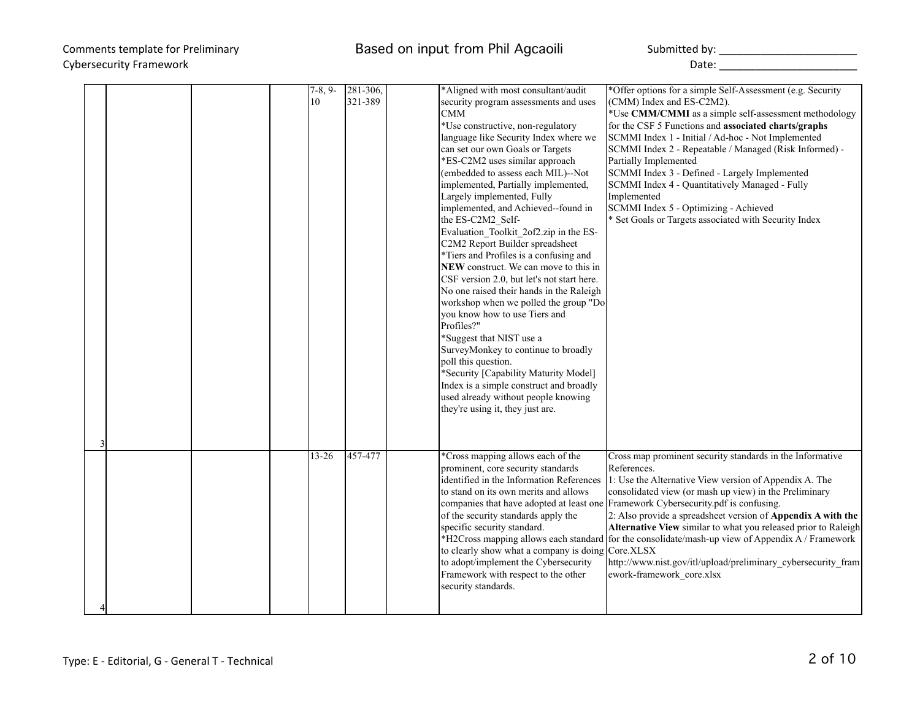|  | $7-8, 9-$<br>10 | 281-306,<br>321-389 | *Aligned with most consultant/audit<br>security program assessments and uses<br>CMM<br>*Use constructive, non-regulatory<br>language like Security Index where we<br>can set our own Goals or Targets<br>*ES-C2M2 uses similar approach<br>(embedded to assess each MIL)--Not<br>implemented, Partially implemented,<br>Largely implemented, Fully<br>implemented, and Achieved--found in<br>the ES-C2M2_Self-<br>Evaluation Toolkit 2of2.zip in the ES-<br>C2M2 Report Builder spreadsheet<br>*Tiers and Profiles is a confusing and<br>NEW construct. We can move to this in<br>CSF version 2.0, but let's not start here.<br>No one raised their hands in the Raleigh<br>workshop when we polled the group "Do<br>you know how to use Tiers and<br>Profiles?"<br>*Suggest that NIST use a<br>SurveyMonkey to continue to broadly<br>poll this question.<br>*Security [Capability Maturity Model]<br>Index is a simple construct and broadly<br>used already without people knowing<br>they're using it, they just are. | *Offer options for a simple Self-Assessment (e.g. Security<br>(CMM) Index and ES-C2M2).<br>for the CSF 5 Functions and associated charts/graphs<br>SCMMI Index 1 - Initial / Ad-hoc - Not Implemented<br>SCMMI Index 2 - Repeatable / Managed (Risk Informed) -<br>Partially Implemented<br>SCMMI Index 3 - Defined - Largely Implemented<br>SCMMI Index 4 - Quantitatively Managed - Fully<br>Implemented<br>SCMMI Index 5 - Optimizing - Achieved<br>* Set Goals or Targets associated with Security Index | *Use CMM/CMMI as a simple self-assessment methodology                                                                                                                                           |
|--|-----------------|---------------------|---------------------------------------------------------------------------------------------------------------------------------------------------------------------------------------------------------------------------------------------------------------------------------------------------------------------------------------------------------------------------------------------------------------------------------------------------------------------------------------------------------------------------------------------------------------------------------------------------------------------------------------------------------------------------------------------------------------------------------------------------------------------------------------------------------------------------------------------------------------------------------------------------------------------------------------------------------------------------------------------------------------------------|--------------------------------------------------------------------------------------------------------------------------------------------------------------------------------------------------------------------------------------------------------------------------------------------------------------------------------------------------------------------------------------------------------------------------------------------------------------------------------------------------------------|-------------------------------------------------------------------------------------------------------------------------------------------------------------------------------------------------|
|  |                 |                     |                                                                                                                                                                                                                                                                                                                                                                                                                                                                                                                                                                                                                                                                                                                                                                                                                                                                                                                                                                                                                           |                                                                                                                                                                                                                                                                                                                                                                                                                                                                                                              |                                                                                                                                                                                                 |
|  | $13 - 26$       | 457-477             | *Cross mapping allows each of the<br>prominent, core security standards<br>identified in the Information References<br>to stand on its own merits and allows<br>of the security standards apply the<br>specific security standard.<br>to clearly show what a company is doing Core.XLSX<br>to adopt/implement the Cybersecurity<br>Framework with respect to the other<br>security standards.                                                                                                                                                                                                                                                                                                                                                                                                                                                                                                                                                                                                                             | Cross map prominent security standards in the Informative<br>References.<br>1: Use the Alternative View version of Appendix A. The<br>consolidated view (or mash up view) in the Preliminary<br>companies that have adopted at least one Framework Cybersecurity.pdf is confusing.<br>*H2Cross mapping allows each standard for the consolidate/mash-up view of Appendix A / Framework<br>ework-framework core.xlsx                                                                                          | 2: Also provide a spreadsheet version of Appendix A with the<br>Alternative View similar to what you released prior to Raleigh<br>http://www.nist.gov/itl/upload/preliminary cybersecurity fram |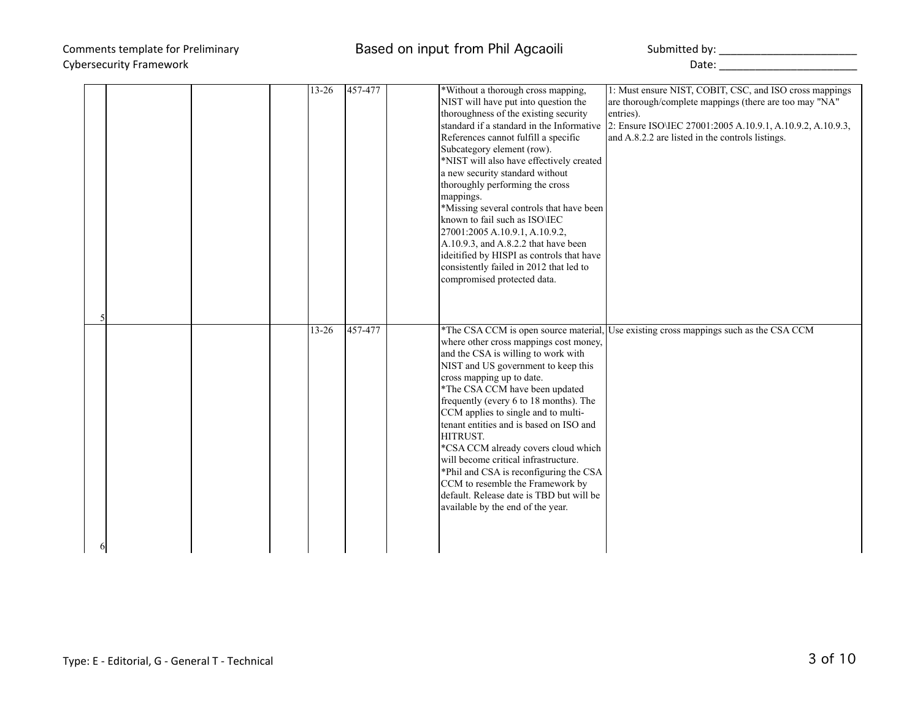# Cybersecurity Framework **Example 20** Cybersecurity Framework **Date:** 20 October 20 October 20 October 20 October 20 October 20 October 20 October 20 October 20 October 20 October 20 October 20 October 20 October 20 October

|   | $13 - 26$ | 457-477 | *Without a thorough cross mapping,<br>NIST will have put into question the<br>thoroughness of the existing security<br>References cannot fulfill a specific<br>Subcategory element (row).<br>*NIST will also have effectively created<br>a new security standard without<br>thoroughly performing the cross<br>mappings.<br>*Missing several controls that have been<br>known to fail such as ISO\IEC<br>27001:2005 A.10.9.1, A.10.9.2,<br>A.10.9.3, and A.8.2.2 that have been<br>ideitified by HISPI as controls that have<br>consistently failed in 2012 that led to<br>compromised protected data. | 1: Must ensure NIST, COBIT, CSC, and ISO cross mappings<br>are thorough/complete mappings (there are too may "NA"<br>entries).<br>standard if a standard in the Informative 2: Ensure ISO\IEC 27001:2005 A.10.9.1, A.10.9.2, A.10.9.3,<br>and A.8.2.2 are listed in the controls listings. |
|---|-----------|---------|--------------------------------------------------------------------------------------------------------------------------------------------------------------------------------------------------------------------------------------------------------------------------------------------------------------------------------------------------------------------------------------------------------------------------------------------------------------------------------------------------------------------------------------------------------------------------------------------------------|--------------------------------------------------------------------------------------------------------------------------------------------------------------------------------------------------------------------------------------------------------------------------------------------|
| 6 | $13 - 26$ | 457-477 | where other cross mappings cost money,<br>and the CSA is willing to work with<br>NIST and US government to keep this<br>cross mapping up to date.<br>*The CSA CCM have been updated<br>frequently (every 6 to 18 months). The<br>CCM applies to single and to multi-<br>tenant entities and is based on ISO and<br>HITRUST.<br>*CSA CCM already covers cloud which<br>will become critical infrastructure.<br>*Phil and CSA is reconfiguring the CSA<br>CCM to resemble the Framework by<br>default. Release date is TBD but will be<br>available by the end of the year.                              | *The CSA CCM is open source material, Use existing cross mappings such as the CSA CCM                                                                                                                                                                                                      |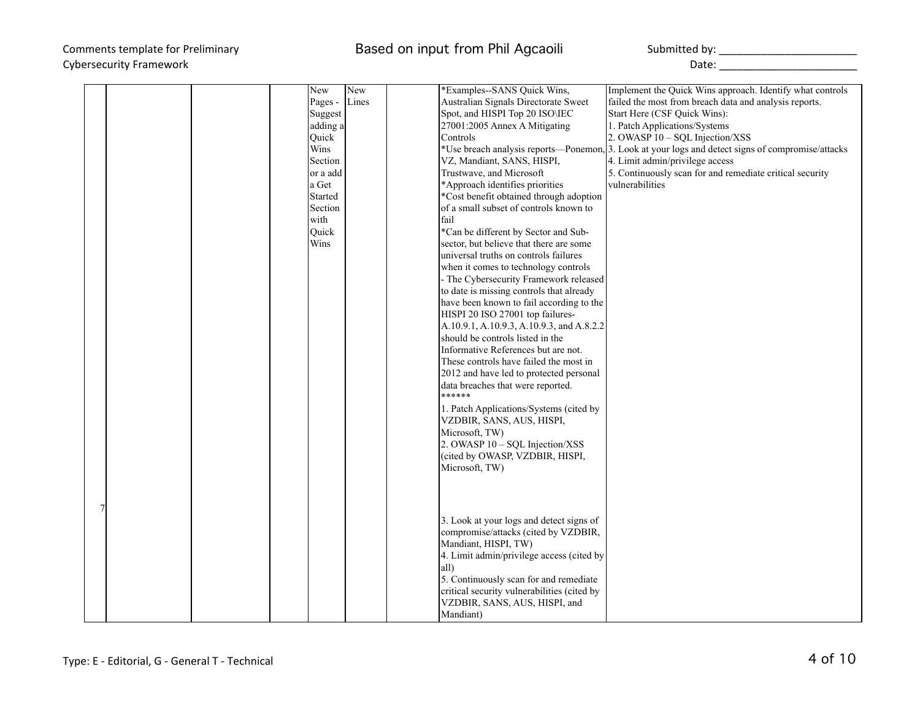|  |  | New      | New   | *Examples--SANS Quick Wins,                 | Implement the Quick Wins approach. Identify what controls                                         |
|--|--|----------|-------|---------------------------------------------|---------------------------------------------------------------------------------------------------|
|  |  | Pages -  | Lines | Australian Signals Directorate Sweet        | failed the most from breach data and analysis reports.                                            |
|  |  | Suggest  |       | Spot, and HISPI Top 20 ISO\IEC              | Start Here (CSF Quick Wins):                                                                      |
|  |  | adding a |       | 27001:2005 Annex A Mitigating               | 1. Patch Applications/Systems                                                                     |
|  |  | Ouick    |       | Controls                                    | 2. OWASP 10 – SQL Injection/XSS                                                                   |
|  |  | Wins     |       |                                             | *Use breach analysis reports—Ponemon, 3. Look at your logs and detect signs of compromise/attacks |
|  |  | Section  |       | VZ, Mandiant, SANS, HISPI,                  | 4. Limit admin/privilege access                                                                   |
|  |  | or a add |       | Trustwave, and Microsoft                    | 5. Continuously scan for and remediate critical security                                          |
|  |  | a Get    |       | *Approach identifies priorities             | vulnerabilities                                                                                   |
|  |  | Started  |       | *Cost benefit obtained through adoption     |                                                                                                   |
|  |  | Section  |       | of a small subset of controls known to      |                                                                                                   |
|  |  | with     |       | fail                                        |                                                                                                   |
|  |  | Quick    |       | *Can be different by Sector and Sub-        |                                                                                                   |
|  |  | Wins     |       | sector, but believe that there are some     |                                                                                                   |
|  |  |          |       | universal truths on controls failures       |                                                                                                   |
|  |  |          |       | when it comes to technology controls        |                                                                                                   |
|  |  |          |       | - The Cybersecurity Framework released      |                                                                                                   |
|  |  |          |       | to date is missing controls that already    |                                                                                                   |
|  |  |          |       | have been known to fail according to the    |                                                                                                   |
|  |  |          |       | HISPI 20 ISO 27001 top failures-            |                                                                                                   |
|  |  |          |       | A.10.9.1, A.10.9.3, A.10.9.3, and A.8.2.2   |                                                                                                   |
|  |  |          |       | should be controls listed in the            |                                                                                                   |
|  |  |          |       | Informative References but are not.         |                                                                                                   |
|  |  |          |       | These controls have failed the most in      |                                                                                                   |
|  |  |          |       | 2012 and have led to protected personal     |                                                                                                   |
|  |  |          |       | data breaches that were reported.           |                                                                                                   |
|  |  |          |       | ******                                      |                                                                                                   |
|  |  |          |       | 1. Patch Applications/Systems (cited by     |                                                                                                   |
|  |  |          |       | VZDBIR, SANS, AUS, HISPI,                   |                                                                                                   |
|  |  |          |       | Microsoft, TW)                              |                                                                                                   |
|  |  |          |       | 2. OWASP $10 - SQL$ Injection/XSS           |                                                                                                   |
|  |  |          |       | (cited by OWASP, VZDBIR, HISPI,             |                                                                                                   |
|  |  |          |       |                                             |                                                                                                   |
|  |  |          |       | Microsoft, TW)                              |                                                                                                   |
|  |  |          |       |                                             |                                                                                                   |
|  |  |          |       |                                             |                                                                                                   |
|  |  |          |       |                                             |                                                                                                   |
|  |  |          |       | 3. Look at your logs and detect signs of    |                                                                                                   |
|  |  |          |       | compromise/attacks (cited by VZDBIR,        |                                                                                                   |
|  |  |          |       | Mandiant, HISPI, TW)                        |                                                                                                   |
|  |  |          |       | 4. Limit admin/privilege access (cited by   |                                                                                                   |
|  |  |          |       | all)                                        |                                                                                                   |
|  |  |          |       | 5. Continuously scan for and remediate      |                                                                                                   |
|  |  |          |       | critical security vulnerabilities (cited by |                                                                                                   |
|  |  |          |       | VZDBIR, SANS, AUS, HISPI, and               |                                                                                                   |
|  |  |          |       | Mandiant)                                   |                                                                                                   |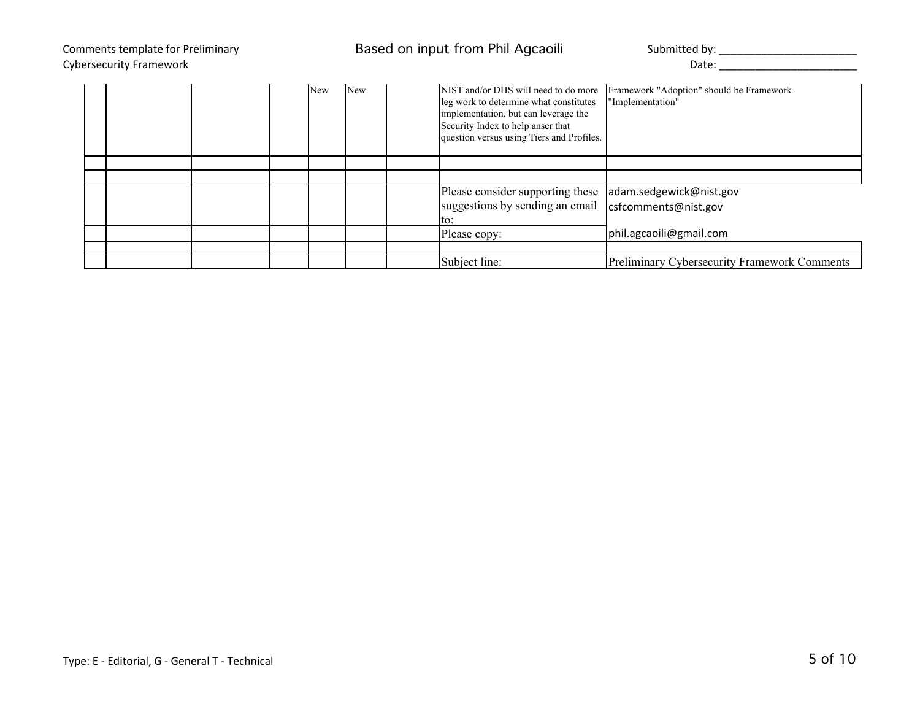| Comments template for Preliminary<br><b>Cybersecurity Framework</b> |  |  |     |     | Based on input from Phil Agcaoili                                                                                                                                                                        | Submitted by: _____<br>Date:                                 |
|---------------------------------------------------------------------|--|--|-----|-----|----------------------------------------------------------------------------------------------------------------------------------------------------------------------------------------------------------|--------------------------------------------------------------|
|                                                                     |  |  | New | New | NIST and/or DHS will need to do more<br>leg work to determine what constitutes<br>implementation, but can leverage the<br>Security Index to help anser that<br>question versus using Tiers and Profiles. | Framework "Adoption" should be Framework<br>"Implementation" |
|                                                                     |  |  |     |     |                                                                                                                                                                                                          |                                                              |
|                                                                     |  |  |     |     |                                                                                                                                                                                                          |                                                              |
|                                                                     |  |  |     |     | Please consider supporting these                                                                                                                                                                         | adam.sedgewick@nist.gov                                      |
|                                                                     |  |  |     |     | suggestions by sending an email<br>to:                                                                                                                                                                   | csfcomments@nist.gov                                         |
|                                                                     |  |  |     |     | Please copy:                                                                                                                                                                                             | phil.agcaoili@gmail.com                                      |
|                                                                     |  |  |     |     |                                                                                                                                                                                                          |                                                              |
|                                                                     |  |  |     |     | Subject line:                                                                                                                                                                                            | Preliminary Cybersecurity Framework Comments                 |